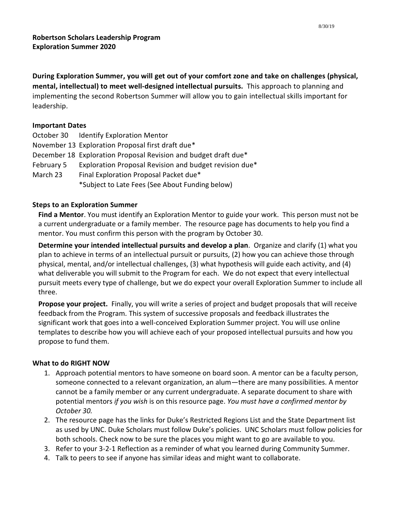**During Exploration Summer, you will get out of your comfort zone and take on challenges (physical, mental, intellectual) to meet well-designed intellectual pursuits.** This approach to planning and implementing the second Robertson Summer will allow you to gain intellectual skills important for leadership.

## **Important Dates**

|            | October 30 Identify Exploration Mentor                          |
|------------|-----------------------------------------------------------------|
|            | November 13 Exploration Proposal first draft due*               |
|            | December 18 Exploration Proposal Revision and budget draft due* |
| February 5 | Exploration Proposal Revision and budget revision due*          |
| March 23   | Final Exploration Proposal Packet due*                          |
|            | *Subject to Late Fees (See About Funding below)                 |

## **Steps to an Exploration Summer**

**Find a Mentor**. You must identify an Exploration Mentor to guide your work. This person must not be a current undergraduate or a family member. The resource page has documents to help you find a mentor. You must confirm this person with the program by October 30.

**Determine your intended intellectual pursuits and develop a plan**. Organize and clarify (1) what you plan to achieve in terms of an intellectual pursuit or pursuits, (2) how you can achieve those through physical, mental, and/or intellectual challenges, (3) what hypothesis will guide each activity, and (4) what deliverable you will submit to the Program for each. We do not expect that every intellectual pursuit meets every type of challenge, but we do expect your overall Exploration Summer to include all three.

**Propose your project.** Finally, you will write a series of project and budget proposals that will receive feedback from the Program. This system of successive proposals and feedback illustrates the significant work that goes into a well-conceived Exploration Summer project. You will use online templates to describe how you will achieve each of your proposed intellectual pursuits and how you propose to fund them.

# **What to do RIGHT NOW**

- 1. Approach potential mentors to have someone on board soon. A mentor can be a faculty person, someone connected to a relevant organization, an alum—there are many possibilities. A mentor cannot be a family member or any current undergraduate. A separate document to share with potential mentors *if you wish* is on this resource page. *You must have a confirmed mentor by October 30.*
- 2. The resource page has the links for Duke's Restricted Regions List and the State Department list as used by UNC. Duke Scholars must follow Duke's policies. UNC Scholars must follow policies for both schools. Check now to be sure the places you might want to go are available to you.
- 3. Refer to your 3-2-1 Reflection as a reminder of what you learned during Community Summer.
- 4. Talk to peers to see if anyone has similar ideas and might want to collaborate.